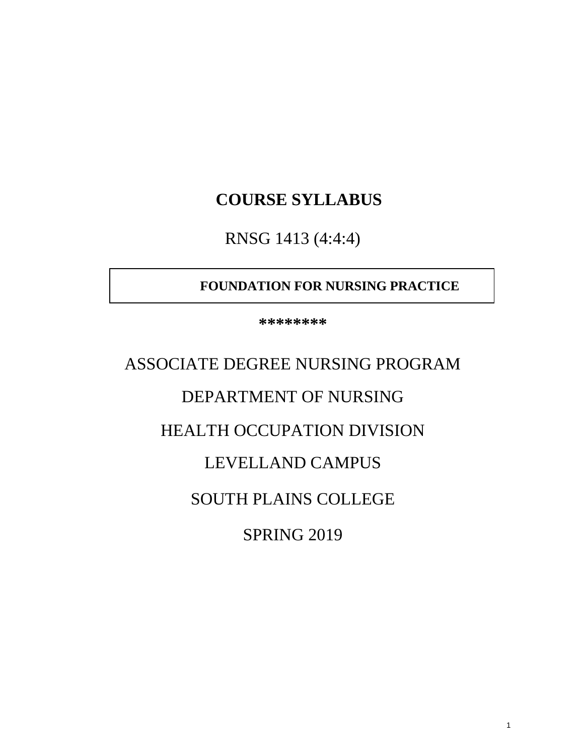## **COURSE SYLLABUS**

RNSG 1413 (4:4:4)

### **FOUNDATION FOR NURSING PRACTICE**

**\*\*\*\*\*\*\*\***

# ASSOCIATE DEGREE NURSING PROGRAM DEPARTMENT OF NURSING

## HEALTH OCCUPATION DIVISION

## LEVELLAND CAMPUS

## SOUTH PLAINS COLLEGE

SPRING 2019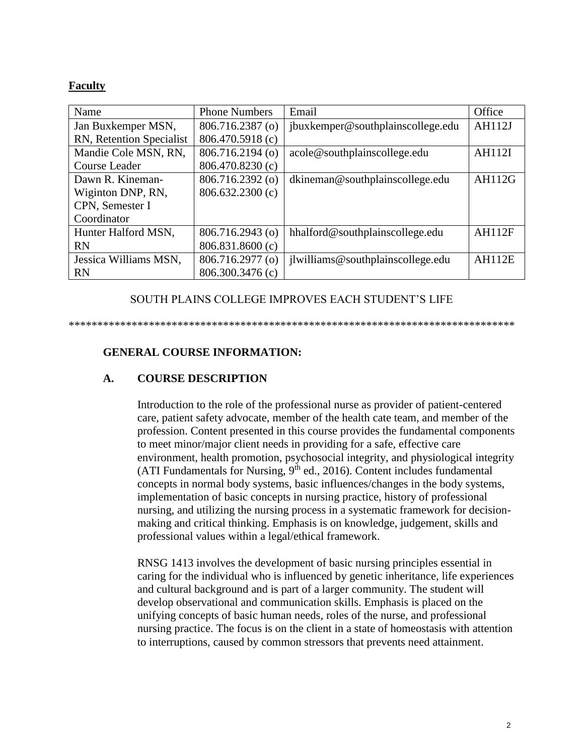#### **Faculty**

| Name                     | <b>Phone Numbers</b> | Email                             | Office        |
|--------------------------|----------------------|-----------------------------------|---------------|
| Jan Buxkemper MSN,       | 806.716.2387 (o)     | jbuxkemper@southplainscollege.edu | <b>AH112J</b> |
| RN, Retention Specialist | 806.470.5918 (c)     |                                   |               |
| Mandie Cole MSN, RN,     | 806.716.2194 (o)     | acole@southplainscollege.edu      | <b>AH112I</b> |
| Course Leader            | 806.470.8230 (c)     |                                   |               |
| Dawn R. Kineman-         | 806.716.2392 (o)     | dkineman@southplainscollege.edu   | <b>AH112G</b> |
| Wiginton DNP, RN,        | 806.632.2300 (c)     |                                   |               |
| CPN, Semester I          |                      |                                   |               |
| Coordinator              |                      |                                   |               |
| Hunter Halford MSN,      | 806.716.2943 (o)     | hhalford@southplainscollege.edu   | <b>AH112F</b> |
| <b>RN</b>                | 806.831.8600 (c)     |                                   |               |
| Jessica Williams MSN,    | 806.716.2977 (o)     | jlwilliams@southplainscollege.edu | <b>AH112E</b> |
| <b>RN</b>                | 806.300.3476 (c)     |                                   |               |

#### SOUTH PLAINS COLLEGE IMPROVES EACH STUDENT'S LIFE

#### \*\*\*\*\*\*\*\*\*\*\*\*\*\*\*\*\*\*\*\*\*\*\*\*\*\*\*\*\*\*\*\*\*\*\*\*\*\*\*\*\*\*\*\*\*\*\*\*\*\*\*\*\*\*\*\*\*\*\*\*\*\*\*\*\*\*\*\*\*\*\*\*\*\*\*\*\*\*

#### **GENERAL COURSE INFORMATION:**

#### **A. COURSE DESCRIPTION**

Introduction to the role of the professional nurse as provider of patient-centered care, patient safety advocate, member of the health cate team, and member of the profession. Content presented in this course provides the fundamental components to meet minor/major client needs in providing for a safe, effective care environment, health promotion, psychosocial integrity, and physiological integrity (ATI Fundamentals for Nursing,  $9<sup>th</sup>$  ed., 2016). Content includes fundamental concepts in normal body systems, basic influences/changes in the body systems, implementation of basic concepts in nursing practice, history of professional nursing, and utilizing the nursing process in a systematic framework for decisionmaking and critical thinking. Emphasis is on knowledge, judgement, skills and professional values within a legal/ethical framework.

RNSG 1413 involves the development of basic nursing principles essential in caring for the individual who is influenced by genetic inheritance, life experiences and cultural background and is part of a larger community. The student will develop observational and communication skills. Emphasis is placed on the unifying concepts of basic human needs, roles of the nurse, and professional nursing practice. The focus is on the client in a state of homeostasis with attention to interruptions, caused by common stressors that prevents need attainment.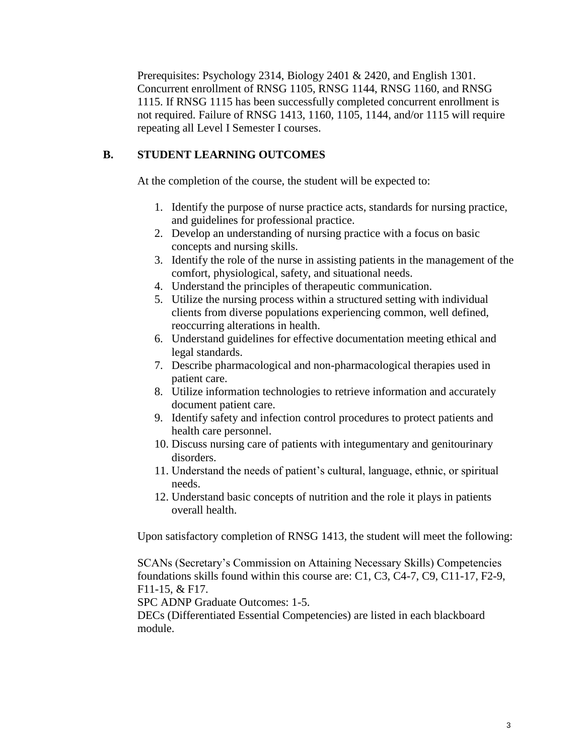Prerequisites: Psychology 2314, Biology 2401 & 2420, and English 1301. Concurrent enrollment of RNSG 1105, RNSG 1144, RNSG 1160, and RNSG 1115. If RNSG 1115 has been successfully completed concurrent enrollment is not required. Failure of RNSG 1413, 1160, 1105, 1144, and/or 1115 will require repeating all Level I Semester I courses.

#### **B. STUDENT LEARNING OUTCOMES**

At the completion of the course, the student will be expected to:

- 1. Identify the purpose of nurse practice acts, standards for nursing practice, and guidelines for professional practice.
- 2. Develop an understanding of nursing practice with a focus on basic concepts and nursing skills.
- 3. Identify the role of the nurse in assisting patients in the management of the comfort, physiological, safety, and situational needs.
- 4. Understand the principles of therapeutic communication.
- 5. Utilize the nursing process within a structured setting with individual clients from diverse populations experiencing common, well defined, reoccurring alterations in health.
- 6. Understand guidelines for effective documentation meeting ethical and legal standards.
- 7. Describe pharmacological and non-pharmacological therapies used in patient care.
- 8. Utilize information technologies to retrieve information and accurately document patient care.
- 9. Identify safety and infection control procedures to protect patients and health care personnel.
- 10. Discuss nursing care of patients with integumentary and genitourinary disorders.
- 11. Understand the needs of patient's cultural, language, ethnic, or spiritual needs.
- 12. Understand basic concepts of nutrition and the role it plays in patients overall health.

Upon satisfactory completion of RNSG 1413, the student will meet the following:

SCANs (Secretary's Commission on Attaining Necessary Skills) Competencies foundations skills found within this course are: C1, C3, C4-7, C9, C11-17, F2-9, F11-15, & F17.

SPC ADNP Graduate Outcomes: 1-5.

DECs (Differentiated Essential Competencies) are listed in each blackboard module.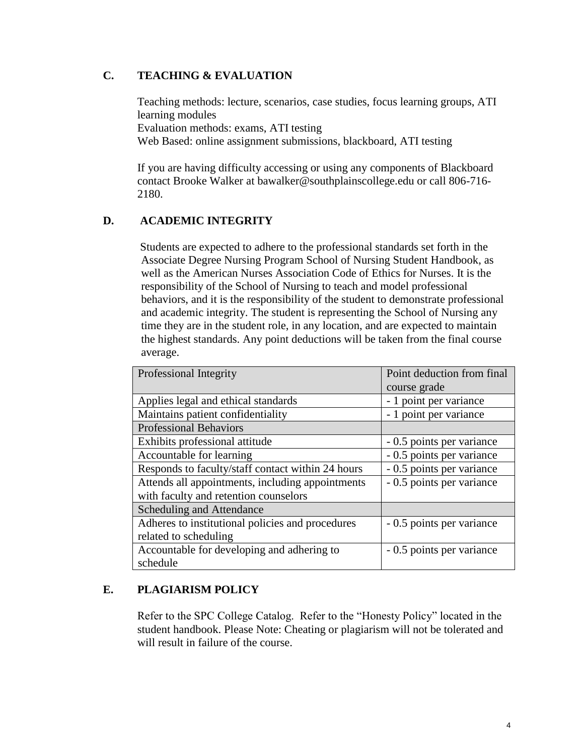#### **C. TEACHING & EVALUATION**

Teaching methods: lecture, scenarios, case studies, focus learning groups, ATI learning modules Evaluation methods: exams, ATI testing Web Based: online assignment submissions, blackboard, ATI testing

If you are having difficulty accessing or using any components of Blackboard contact Brooke Walker at bawalker@southplainscollege.edu or call 806-716- 2180.

#### **D. ACADEMIC INTEGRITY**

Students are expected to adhere to the professional standards set forth in the Associate Degree Nursing Program School of Nursing Student Handbook, as well as the American Nurses Association Code of Ethics for Nurses. It is the responsibility of the School of Nursing to teach and model professional behaviors, and it is the responsibility of the student to demonstrate professional and academic integrity. The student is representing the School of Nursing any time they are in the student role, in any location, and are expected to maintain the highest standards. Any point deductions will be taken from the final course average.

| Professional Integrity                            | Point deduction from final<br>course grade |
|---------------------------------------------------|--------------------------------------------|
|                                                   |                                            |
| Applies legal and ethical standards               | - 1 point per variance                     |
| Maintains patient confidentiality                 | - 1 point per variance                     |
| <b>Professional Behaviors</b>                     |                                            |
| Exhibits professional attitude                    | - 0.5 points per variance                  |
| Accountable for learning                          | - 0.5 points per variance                  |
| Responds to faculty/staff contact within 24 hours | - 0.5 points per variance                  |
| Attends all appointments, including appointments  | - 0.5 points per variance                  |
| with faculty and retention counselors             |                                            |
| Scheduling and Attendance                         |                                            |
| Adheres to institutional policies and procedures  | - 0.5 points per variance                  |
| related to scheduling                             |                                            |
| Accountable for developing and adhering to        | - 0.5 points per variance                  |
| schedule                                          |                                            |

#### **E. PLAGIARISM POLICY**

Refer to the SPC College Catalog. Refer to the "Honesty Policy" located in the student handbook. Please Note: Cheating or plagiarism will not be tolerated and will result in failure of the course.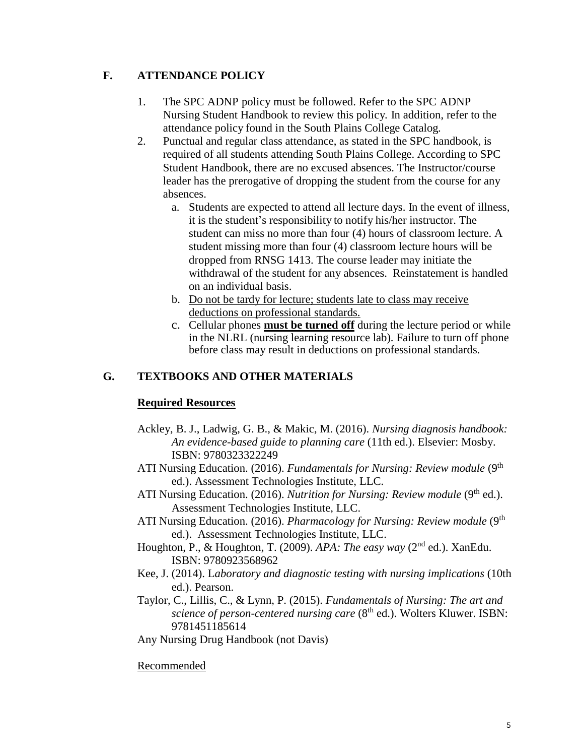#### **F. ATTENDANCE POLICY**

- 1. The SPC ADNP policy must be followed. Refer to the SPC ADNP Nursing Student Handbook to review this policy. In addition, refer to the attendance policy found in the South Plains College Catalog.
- 2. Punctual and regular class attendance, as stated in the SPC handbook, is required of all students attending South Plains College. According to SPC Student Handbook, there are no excused absences. The Instructor/course leader has the prerogative of dropping the student from the course for any absences.
	- a. Students are expected to attend all lecture days. In the event of illness, it is the student's responsibility to notify his/her instructor. The student can miss no more than four (4) hours of classroom lecture. A student missing more than four (4) classroom lecture hours will be dropped from RNSG 1413. The course leader may initiate the withdrawal of the student for any absences. Reinstatement is handled on an individual basis.
	- b. Do not be tardy for lecture; students late to class may receive deductions on professional standards.
	- c. Cellular phones **must be turned off** during the lecture period or while in the NLRL (nursing learning resource lab). Failure to turn off phone before class may result in deductions on professional standards.

#### **G. TEXTBOOKS AND OTHER MATERIALS**

#### **Required Resources**

- Ackley, B. J., Ladwig, G. B., & Makic, M. (2016). *Nursing diagnosis handbook: An evidence-based guide to planning care* (11th ed.). Elsevier: Mosby. ISBN: 9780323322249
- ATI Nursing Education. (2016). *Fundamentals for Nursing: Review module* (9<sup>th</sup>) ed.). Assessment Technologies Institute, LLC.
- ATI Nursing Education. (2016). *Nutrition for Nursing: Review module* (9<sup>th</sup> ed.). Assessment Technologies Institute, LLC.
- ATI Nursing Education. (2016). *Pharmacology for Nursing: Review module* (9<sup>th</sup>) ed.). Assessment Technologies Institute, LLC.
- Houghton, P., & Houghton, T. (2009). *APA: The easy way* (2nd ed.). XanEdu. ISBN: 9780923568962
- Kee, J. (2014). L*aboratory and diagnostic testing with nursing implications* (10th ed.). Pearson.
- Taylor, C., Lillis, C., & Lynn, P. (2015). *Fundamentals of Nursing: The art and science of person-centered nursing care* (8<sup>th</sup> ed.). Wolters Kluwer. ISBN: 9781451185614
- Any Nursing Drug Handbook (not Davis)

#### Recommended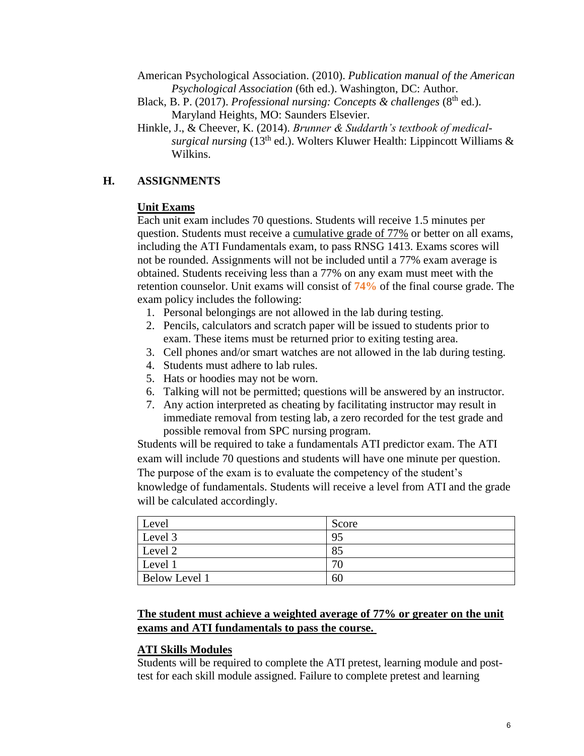American Psychological Association. (2010). *Publication manual of the American Psychological Association* (6th ed.). Washington, DC: Author.

- Black, B. P. (2017). *Professional nursing: Concepts & challenges* (8<sup>th</sup> ed.). Maryland Heights, MO: Saunders Elsevier.
- Hinkle, J., & Cheever, K. (2014). *Brunner & Suddarth's textbook of medicalsurgical nursing* (13th ed.). Wolters Kluwer Health: Lippincott Williams & Wilkins.

#### **H. ASSIGNMENTS**

#### **Unit Exams**

Each unit exam includes 70 questions. Students will receive 1.5 minutes per question. Students must receive a cumulative grade of 77% or better on all exams, including the ATI Fundamentals exam, to pass RNSG 1413. Exams scores will not be rounded. Assignments will not be included until a 77% exam average is obtained. Students receiving less than a 77% on any exam must meet with the retention counselor. Unit exams will consist of **74%** of the final course grade. The exam policy includes the following:

- 1. Personal belongings are not allowed in the lab during testing.
- 2. Pencils, calculators and scratch paper will be issued to students prior to exam. These items must be returned prior to exiting testing area.
- 3. Cell phones and/or smart watches are not allowed in the lab during testing.
- 4. Students must adhere to lab rules.
- 5. Hats or hoodies may not be worn.
- 6. Talking will not be permitted; questions will be answered by an instructor.
- 7. Any action interpreted as cheating by facilitating instructor may result in immediate removal from testing lab, a zero recorded for the test grade and possible removal from SPC nursing program.

Students will be required to take a fundamentals ATI predictor exam. The ATI exam will include 70 questions and students will have one minute per question. The purpose of the exam is to evaluate the competency of the student's knowledge of fundamentals. Students will receive a level from ATI and the grade will be calculated accordingly.

| Level                | Score |
|----------------------|-------|
| Level 3              | 95    |
| Level 2              | 85    |
| Level 1              | 70    |
| <b>Below Level 1</b> | 60    |

#### **The student must achieve a weighted average of 77% or greater on the unit exams and ATI fundamentals to pass the course.**

#### **ATI Skills Modules**

Students will be required to complete the ATI pretest, learning module and posttest for each skill module assigned. Failure to complete pretest and learning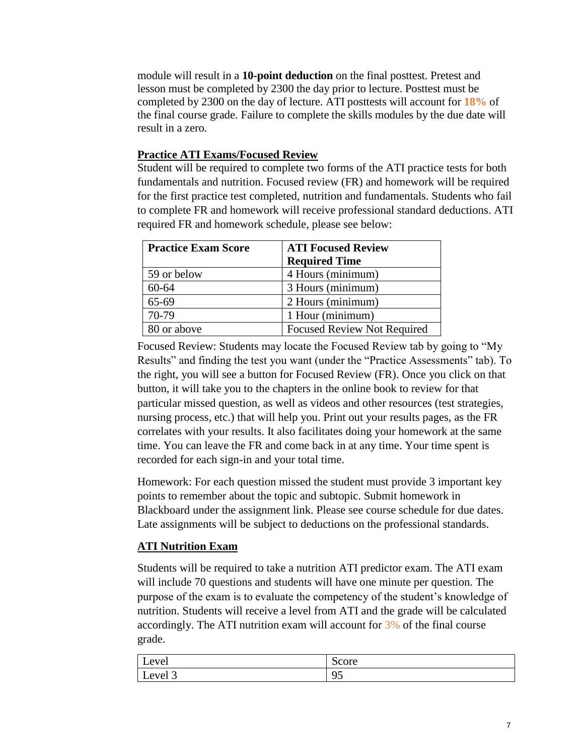module will result in a **10-point deduction** on the final posttest. Pretest and lesson must be completed by 2300 the day prior to lecture. Posttest must be completed by 2300 on the day of lecture. ATI posttests will account for **18%** of the final course grade. Failure to complete the skills modules by the due date will result in a zero.

#### **Practice ATI Exams/Focused Review**

Student will be required to complete two forms of the ATI practice tests for both fundamentals and nutrition. Focused review (FR) and homework will be required for the first practice test completed, nutrition and fundamentals. Students who fail to complete FR and homework will receive professional standard deductions. ATI required FR and homework schedule, please see below:

| <b>Practice Exam Score</b> | <b>ATI Focused Review</b>          |  |
|----------------------------|------------------------------------|--|
|                            | <b>Required Time</b>               |  |
| 59 or below                | 4 Hours (minimum)                  |  |
| $60 - 64$                  | 3 Hours (minimum)                  |  |
| 65-69                      | 2 Hours (minimum)                  |  |
| 70-79                      | 1 Hour (minimum)                   |  |
| 80 or above                | <b>Focused Review Not Required</b> |  |

Focused Review: Students may locate the Focused Review tab by going to "My Results" and finding the test you want (under the "Practice Assessments" tab). To the right, you will see a button for Focused Review (FR). Once you click on that button, it will take you to the chapters in the online book to review for that particular missed question, as well as videos and other resources (test strategies, nursing process, etc.) that will help you. Print out your results pages, as the FR correlates with your results. It also facilitates doing your homework at the same time. You can leave the FR and come back in at any time. Your time spent is recorded for each sign-in and your total time.

Homework: For each question missed the student must provide 3 important key points to remember about the topic and subtopic. Submit homework in Blackboard under the assignment link. Please see course schedule for due dates. Late assignments will be subject to deductions on the professional standards.

#### **ATI Nutrition Exam**

Students will be required to take a nutrition ATI predictor exam. The ATI exam will include 70 questions and students will have one minute per question. The purpose of the exam is to evaluate the competency of the student's knowledge of nutrition. Students will receive a level from ATI and the grade will be calculated accordingly. The ATI nutrition exam will account for 3% of the final course grade.

| Level    | $\sim$<br>Score |
|----------|-----------------|
| <b>T</b> | $\alpha$        |
| Level 3  |                 |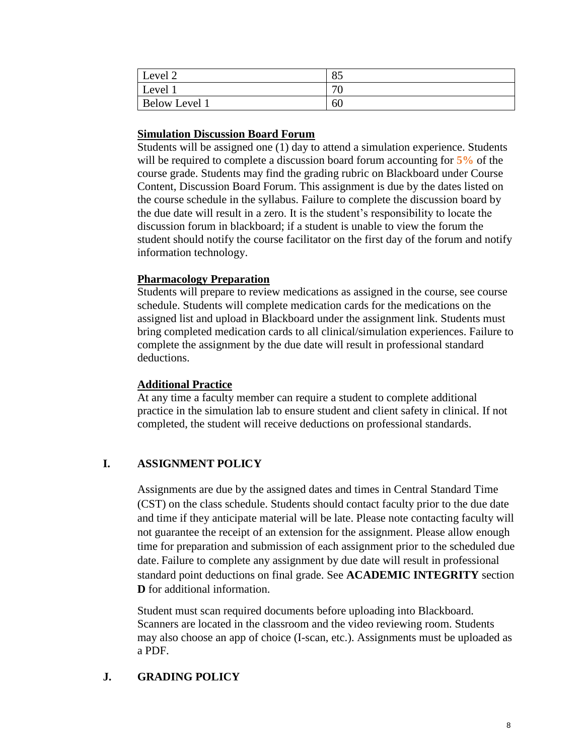| Level 2              | 85        |
|----------------------|-----------|
| Level 1              | 70<br>' U |
| <b>Below Level 1</b> | 60        |

#### **Simulation Discussion Board Forum**

Students will be assigned one (1) day to attend a simulation experience. Students will be required to complete a discussion board forum accounting for **5%** of the course grade. Students may find the grading rubric on Blackboard under Course Content, Discussion Board Forum. This assignment is due by the dates listed on the course schedule in the syllabus. Failure to complete the discussion board by the due date will result in a zero. It is the student's responsibility to locate the discussion forum in blackboard; if a student is unable to view the forum the student should notify the course facilitator on the first day of the forum and notify information technology.

#### **Pharmacology Preparation**

Students will prepare to review medications as assigned in the course, see course schedule. Students will complete medication cards for the medications on the assigned list and upload in Blackboard under the assignment link. Students must bring completed medication cards to all clinical/simulation experiences. Failure to complete the assignment by the due date will result in professional standard deductions.

#### **Additional Practice**

At any time a faculty member can require a student to complete additional practice in the simulation lab to ensure student and client safety in clinical. If not completed, the student will receive deductions on professional standards.

#### **I. ASSIGNMENT POLICY**

Assignments are due by the assigned dates and times in Central Standard Time (CST) on the class schedule. Students should contact faculty prior to the due date and time if they anticipate material will be late. Please note contacting faculty will not guarantee the receipt of an extension for the assignment. Please allow enough time for preparation and submission of each assignment prior to the scheduled due date. Failure to complete any assignment by due date will result in professional standard point deductions on final grade. See **ACADEMIC INTEGRITY** section **D** for additional information.

Student must scan required documents before uploading into Blackboard. Scanners are located in the classroom and the video reviewing room. Students may also choose an app of choice (I-scan, etc.). Assignments must be uploaded as a PDF.

#### **J. GRADING POLICY**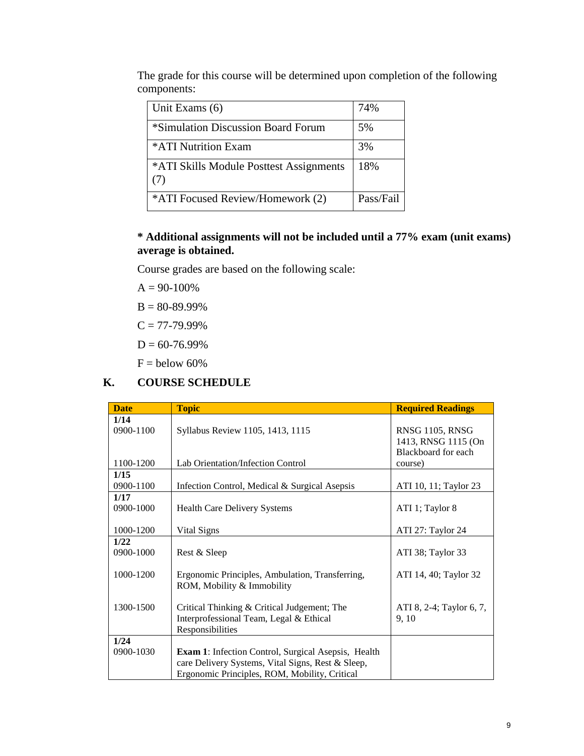The grade for this course will be determined upon completion of the following components:

| Unit Exams (6)                                 | 74%       |
|------------------------------------------------|-----------|
| *Simulation Discussion Board Forum             | 5%        |
| *ATI Nutrition Exam                            | 3%        |
| *ATI Skills Module Posttest Assignments<br>(7) | 18%       |
| *ATI Focused Review/Homework (2)               | Pass/Fail |

#### **\* Additional assignments will not be included until a 77% exam (unit exams) average is obtained.**

Course grades are based on the following scale:

 $A = 90-100%$ 

 $B = 80 - 89.99\%$ 

 $C = 77-79.99\%$ 

 $D = 60 - 76.99\%$ 

 $F =$  below 60%

#### **K. COURSE SCHEDULE**

| <b>Date</b>       | <b>Topic</b>                                                                                                                                                     | <b>Required Readings</b>               |
|-------------------|------------------------------------------------------------------------------------------------------------------------------------------------------------------|----------------------------------------|
| 1/14<br>0900-1100 | Syllabus Review 1105, 1413, 1115                                                                                                                                 | RNSG 1105, RNSG<br>1413, RNSG 1115 (On |
| 1100-1200         | Lab Orientation/Infection Control                                                                                                                                | Blackboard for each<br>course)         |
| 1/15<br>0900-1100 | Infection Control, Medical & Surgical Asepsis                                                                                                                    | ATI 10, 11; Taylor 23                  |
| 1/17<br>0900-1000 | <b>Health Care Delivery Systems</b>                                                                                                                              | ATI 1; Taylor 8                        |
| 1000-1200         | Vital Signs                                                                                                                                                      | ATI 27: Taylor 24                      |
| 1/22<br>0900-1000 | Rest & Sleep                                                                                                                                                     | ATI 38; Taylor 33                      |
| 1000-1200         | Ergonomic Principles, Ambulation, Transferring,<br>ROM, Mobility & Immobility                                                                                    | ATI 14, 40; Taylor 32                  |
| 1300-1500         | Critical Thinking & Critical Judgement; The<br>Interprofessional Team, Legal & Ethical<br>Responsibilities                                                       | ATI 8, 2-4; Taylor 6, 7,<br>9, 10      |
| 1/24<br>0900-1030 | <b>Exam 1:</b> Infection Control, Surgical Asepsis, Health<br>care Delivery Systems, Vital Signs, Rest & Sleep,<br>Ergonomic Principles, ROM, Mobility, Critical |                                        |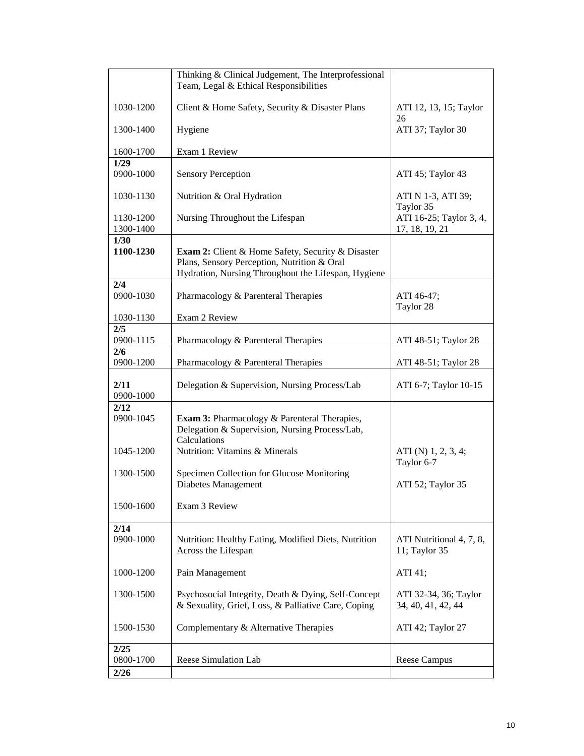|                        | Thinking & Clinical Judgement, The Interprofessional<br>Team, Legal & Ethical Responsibilities                                                                 |                                             |
|------------------------|----------------------------------------------------------------------------------------------------------------------------------------------------------------|---------------------------------------------|
| 1030-1200              | Client & Home Safety, Security & Disaster Plans                                                                                                                | ATI 12, 13, 15; Taylor<br>26                |
| 1300-1400              | Hygiene                                                                                                                                                        | ATI 37; Taylor 30                           |
| 1600-1700              | Exam 1 Review                                                                                                                                                  |                                             |
| 1/29<br>0900-1000      | <b>Sensory Perception</b>                                                                                                                                      | ATI 45; Taylor 43                           |
| 1030-1130              | Nutrition & Oral Hydration                                                                                                                                     | ATI N 1-3, ATI 39;<br>Taylor 35             |
| 1130-1200<br>1300-1400 | Nursing Throughout the Lifespan                                                                                                                                | ATI 16-25; Taylor 3, 4,<br>17, 18, 19, 21   |
| 1/30<br>1100-1230      | <b>Exam 2:</b> Client & Home Safety, Security & Disaster<br>Plans, Sensory Perception, Nutrition & Oral<br>Hydration, Nursing Throughout the Lifespan, Hygiene |                                             |
| 2/4<br>0900-1030       | Pharmacology & Parenteral Therapies                                                                                                                            | ATI 46-47;<br>Taylor 28                     |
| 1030-1130              | Exam 2 Review                                                                                                                                                  |                                             |
| 2/5<br>0900-1115       | Pharmacology & Parenteral Therapies                                                                                                                            | ATI 48-51; Taylor 28                        |
| 2/6<br>0900-1200       | Pharmacology & Parenteral Therapies                                                                                                                            | ATI 48-51; Taylor 28                        |
| 2/11<br>0900-1000      | Delegation & Supervision, Nursing Process/Lab                                                                                                                  | ATI 6-7; Taylor 10-15                       |
| 2/12<br>0900-1045      | <b>Exam 3:</b> Pharmacology & Parenteral Therapies,<br>Delegation & Supervision, Nursing Process/Lab,<br>Calculations                                          |                                             |
| 1045-1200              | Nutrition: Vitamins & Minerals                                                                                                                                 | ATI (N) $1, 2, 3, 4;$<br>Taylor 6-7         |
| 1300-1500              | Specimen Collection for Glucose Monitoring<br>Diabetes Management                                                                                              | ATI 52; Taylor 35                           |
| 1500-1600              | Exam 3 Review                                                                                                                                                  |                                             |
| 2/14<br>0900-1000      | Nutrition: Healthy Eating, Modified Diets, Nutrition<br>Across the Lifespan                                                                                    | ATI Nutritional 4, 7, 8,<br>11; Taylor 35   |
| 1000-1200              | Pain Management                                                                                                                                                | ATI 41;                                     |
| 1300-1500              | Psychosocial Integrity, Death & Dying, Self-Concept<br>& Sexuality, Grief, Loss, & Palliative Care, Coping                                                     | ATI 32-34, 36; Taylor<br>34, 40, 41, 42, 44 |
| 1500-1530              | Complementary & Alternative Therapies                                                                                                                          | ATI 42; Taylor 27                           |
| 2/25<br>0800-1700      | Reese Simulation Lab                                                                                                                                           | Reese Campus                                |
| 2/26                   |                                                                                                                                                                |                                             |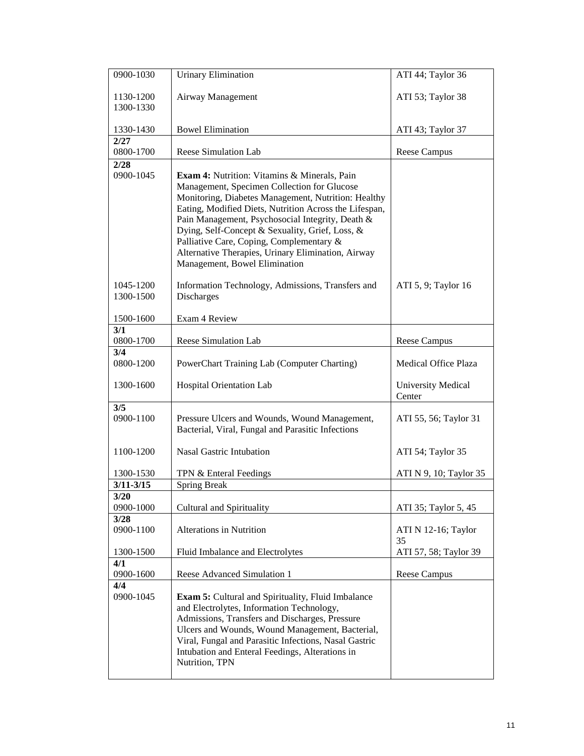| 0900-1030              | <b>Urinary Elimination</b>                                                                                                                                                                                                                                                                                                                                                                                                                                    | ATI 44; Taylor 36                   |
|------------------------|---------------------------------------------------------------------------------------------------------------------------------------------------------------------------------------------------------------------------------------------------------------------------------------------------------------------------------------------------------------------------------------------------------------------------------------------------------------|-------------------------------------|
| 1130-1200<br>1300-1330 | Airway Management                                                                                                                                                                                                                                                                                                                                                                                                                                             | ATI 53; Taylor 38                   |
| 1330-1430              | <b>Bowel Elimination</b>                                                                                                                                                                                                                                                                                                                                                                                                                                      | ATI 43; Taylor 37                   |
| 2/27<br>0800-1700      | <b>Reese Simulation Lab</b>                                                                                                                                                                                                                                                                                                                                                                                                                                   | <b>Reese Campus</b>                 |
| 2/28<br>0900-1045      | <b>Exam 4:</b> Nutrition: Vitamins & Minerals, Pain<br>Management, Specimen Collection for Glucose<br>Monitoring, Diabetes Management, Nutrition: Healthy<br>Eating, Modified Diets, Nutrition Across the Lifespan,<br>Pain Management, Psychosocial Integrity, Death &<br>Dying, Self-Concept & Sexuality, Grief, Loss, &<br>Palliative Care, Coping, Complementary &<br>Alternative Therapies, Urinary Elimination, Airway<br>Management, Bowel Elimination |                                     |
| 1045-1200<br>1300-1500 | Information Technology, Admissions, Transfers and<br><b>Discharges</b>                                                                                                                                                                                                                                                                                                                                                                                        | ATI 5, 9; Taylor 16                 |
| 1500-1600              | Exam 4 Review                                                                                                                                                                                                                                                                                                                                                                                                                                                 |                                     |
| 3/1<br>0800-1700       | Reese Simulation Lab                                                                                                                                                                                                                                                                                                                                                                                                                                          | Reese Campus                        |
| 3/4<br>0800-1200       | PowerChart Training Lab (Computer Charting)                                                                                                                                                                                                                                                                                                                                                                                                                   | <b>Medical Office Plaza</b>         |
| 1300-1600              | Hospital Orientation Lab                                                                                                                                                                                                                                                                                                                                                                                                                                      | <b>University Medical</b><br>Center |
| 3/5<br>0900-1100       | Pressure Ulcers and Wounds, Wound Management,<br>Bacterial, Viral, Fungal and Parasitic Infections                                                                                                                                                                                                                                                                                                                                                            | ATI 55, 56; Taylor 31               |
| 1100-1200              | <b>Nasal Gastric Intubation</b>                                                                                                                                                                                                                                                                                                                                                                                                                               | ATI 54; Taylor 35                   |
| 1300-1530              | TPN & Enteral Feedings                                                                                                                                                                                                                                                                                                                                                                                                                                        | ATI N 9, 10; Taylor 35              |
| $3/11 - 3/15$          | <b>Spring Break</b>                                                                                                                                                                                                                                                                                                                                                                                                                                           |                                     |
| 3/20<br>0900-1000      | Cultural and Spirituality                                                                                                                                                                                                                                                                                                                                                                                                                                     | ATI 35; Taylor 5, 45                |
| 3/28<br>0900-1100      | <b>Alterations in Nutrition</b>                                                                                                                                                                                                                                                                                                                                                                                                                               | ATI N 12-16; Taylor<br>35           |
| 1300-1500              | Fluid Imbalance and Electrolytes                                                                                                                                                                                                                                                                                                                                                                                                                              | ATI 57, 58; Taylor 39               |
| 4/1<br>0900-1600       | Reese Advanced Simulation 1                                                                                                                                                                                                                                                                                                                                                                                                                                   | <b>Reese Campus</b>                 |
| 4/4<br>0900-1045       | <b>Exam 5:</b> Cultural and Spirituality, Fluid Imbalance<br>and Electrolytes, Information Technology,<br>Admissions, Transfers and Discharges, Pressure<br>Ulcers and Wounds, Wound Management, Bacterial,<br>Viral, Fungal and Parasitic Infections, Nasal Gastric<br>Intubation and Enteral Feedings, Alterations in<br>Nutrition, TPN                                                                                                                     |                                     |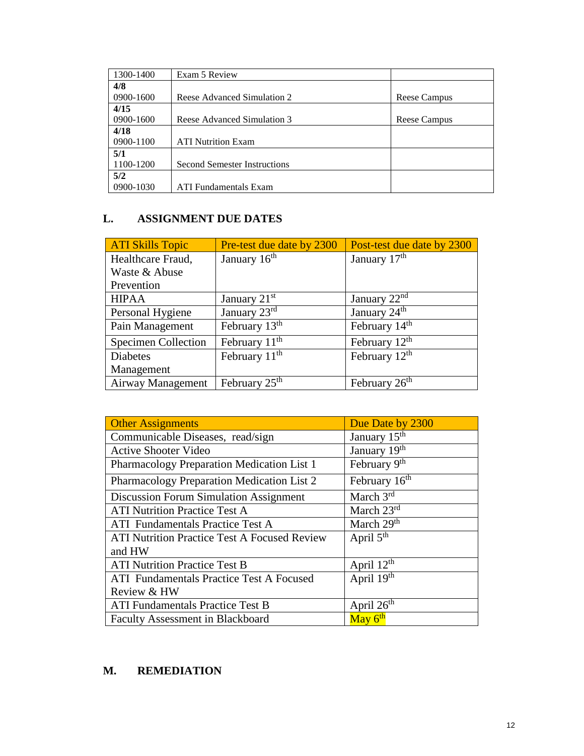| 1300-1400 | Exam 5 Review                       |              |
|-----------|-------------------------------------|--------------|
| 4/8       |                                     |              |
| 0900-1600 | Reese Advanced Simulation 2         | Reese Campus |
| 4/15      |                                     |              |
| 0900-1600 | Reese Advanced Simulation 3         | Reese Campus |
| 4/18      |                                     |              |
| 0900-1100 | <b>ATI Nutrition Exam</b>           |              |
| 5/1       |                                     |              |
| 1100-1200 | <b>Second Semester Instructions</b> |              |
| 5/2       |                                     |              |
| 0900-1030 | <b>ATI</b> Fundamentals Exam        |              |

#### **L. ASSIGNMENT DUE DATES**

| <b>ATI Skills Topic</b>    | Pre-test due date by 2300 | Post-test due date by 2300 |
|----------------------------|---------------------------|----------------------------|
| Healthcare Fraud,          | January 16 <sup>th</sup>  | January 17 <sup>th</sup>   |
| Waste & Abuse              |                           |                            |
| Prevention                 |                           |                            |
| <b>HIPAA</b>               | January $21st$            | January 22 <sup>nd</sup>   |
| Personal Hygiene           | January 23rd              | January 24 <sup>th</sup>   |
| Pain Management            | February 13 <sup>th</sup> | February 14 <sup>th</sup>  |
| <b>Specimen Collection</b> | February $11th$           | February 12 <sup>th</sup>  |
| <b>Diabetes</b>            | February $11th$           | February 12 <sup>th</sup>  |
| Management                 |                           |                            |
| Airway Management          | February $25th$           | February 26 <sup>th</sup>  |

| <b>Other Assignments</b>                            | Due Date by 2300             |
|-----------------------------------------------------|------------------------------|
| Communicable Diseases, read/sign                    | January 15 <sup>th</sup>     |
| <b>Active Shooter Video</b>                         | January $\overline{19^{th}}$ |
| Pharmacology Preparation Medication List 1          | February 9th                 |
| Pharmacology Preparation Medication List 2          | February 16 <sup>th</sup>    |
| <b>Discussion Forum Simulation Assignment</b>       | March $3rd$                  |
| <b>ATI Nutrition Practice Test A</b>                | March $23rd$                 |
| ATI Fundamentals Practice Test A                    | March 29 <sup>th</sup>       |
| <b>ATI Nutrition Practice Test A Focused Review</b> | April $5th$                  |
| and HW                                              |                              |
| <b>ATI Nutrition Practice Test B</b>                | April 12 <sup>th</sup>       |
| <b>ATI</b> Fundamentals Practice Test A Focused     | April 19th                   |
| Review & HW                                         |                              |
| <b>ATI Fundamentals Practice Test B</b>             | April 26 <sup>th</sup>       |
| <b>Faculty Assessment in Blackboard</b>             | May 6 <sup>th</sup>          |

#### **M. REMEDIATION**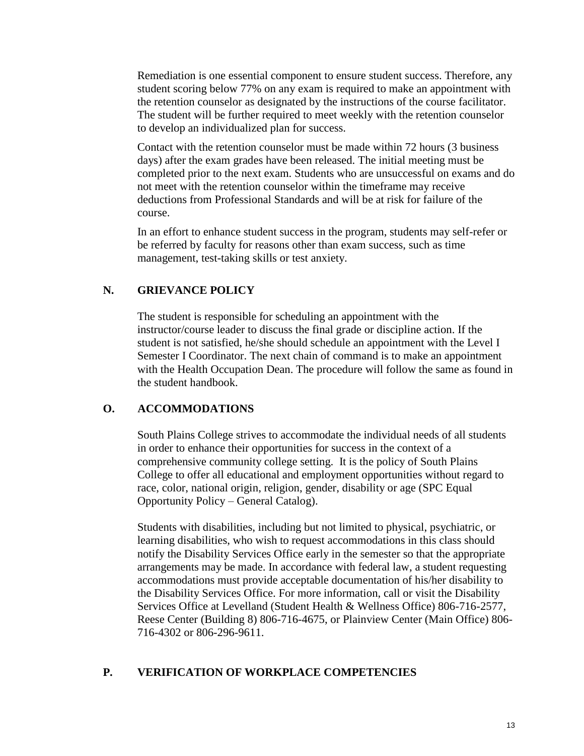Remediation is one essential component to ensure student success. Therefore, any student scoring below 77% on any exam is required to make an appointment with the retention counselor as designated by the instructions of the course facilitator. The student will be further required to meet weekly with the retention counselor to develop an individualized plan for success.

Contact with the retention counselor must be made within 72 hours (3 business days) after the exam grades have been released. The initial meeting must be completed prior to the next exam. Students who are unsuccessful on exams and do not meet with the retention counselor within the timeframe may receive deductions from Professional Standards and will be at risk for failure of the course.

In an effort to enhance student success in the program, students may self-refer or be referred by faculty for reasons other than exam success, such as time management, test-taking skills or test anxiety.

#### **N. GRIEVANCE POLICY**

The student is responsible for scheduling an appointment with the instructor/course leader to discuss the final grade or discipline action. If the student is not satisfied, he/she should schedule an appointment with the Level I Semester I Coordinator. The next chain of command is to make an appointment with the Health Occupation Dean. The procedure will follow the same as found in the student handbook.

#### **O. ACCOMMODATIONS**

South Plains College strives to accommodate the individual needs of all students in order to enhance their opportunities for success in the context of a comprehensive community college setting. It is the policy of South Plains College to offer all educational and employment opportunities without regard to race, color, national origin, religion, gender, disability or age (SPC Equal Opportunity Policy – General Catalog).

Students with disabilities, including but not limited to physical, psychiatric, or learning disabilities, who wish to request accommodations in this class should notify the Disability Services Office early in the semester so that the appropriate arrangements may be made. In accordance with federal law, a student requesting accommodations must provide acceptable documentation of his/her disability to the Disability Services Office. For more information, call or visit the Disability Services Office at Levelland (Student Health & Wellness Office) 806-716-2577, Reese Center (Building 8) 806-716-4675, or Plainview Center (Main Office) 806- 716-4302 or 806-296-9611.

#### **P. VERIFICATION OF WORKPLACE COMPETENCIES**